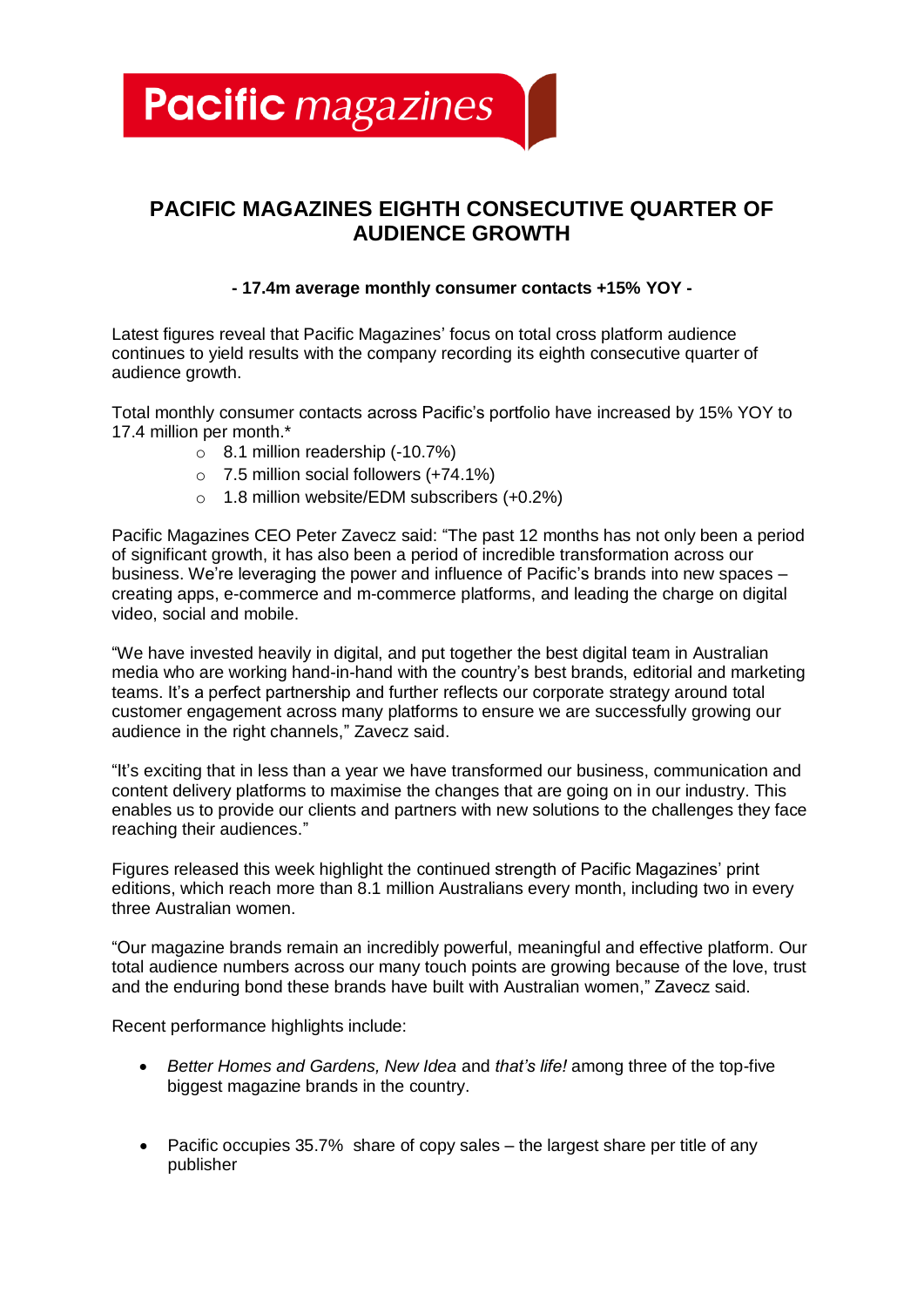**Pacific** magazines

## **PACIFIC MAGAZINES EIGHTH CONSECUTIVE QUARTER OF AUDIENCE GROWTH**

### **- 17.4m average monthly consumer contacts +15% YOY -**

Latest figures reveal that Pacific Magazines' focus on total cross platform audience continues to yield results with the company recording its eighth consecutive quarter of audience growth.

Total monthly consumer contacts across Pacific's portfolio have increased by 15% YOY to 17.4 million per month.\*

- o 8.1 million readership (-10.7%)
- o 7.5 million social followers (+74.1%)
- o 1.8 million website/EDM subscribers (+0.2%)

Pacific Magazines CEO Peter Zavecz said: "The past 12 months has not only been a period of significant growth, it has also been a period of incredible transformation across our business. We're leveraging the power and influence of Pacific's brands into new spaces – creating apps, e-commerce and m-commerce platforms, and leading the charge on digital video, social and mobile.

"We have invested heavily in digital, and put together the best digital team in Australian media who are working hand-in-hand with the country's best brands, editorial and marketing teams. It's a perfect partnership and further reflects our corporate strategy around total customer engagement across many platforms to ensure we are successfully growing our audience in the right channels," Zavecz said.

"It's exciting that in less than a year we have transformed our business, communication and content delivery platforms to maximise the changes that are going on in our industry. This enables us to provide our clients and partners with new solutions to the challenges they face reaching their audiences."

Figures released this week highlight the continued strength of Pacific Magazines' print editions, which reach more than 8.1 million Australians every month, including two in every three Australian women.

"Our magazine brands remain an incredibly powerful, meaningful and effective platform. Our total audience numbers across our many touch points are growing because of the love, trust and the enduring bond these brands have built with Australian women," Zavecz said.

Recent performance highlights include:

- *Better Homes and Gardens, New Idea* and *that's life!* among three of the top-five biggest magazine brands in the country.
- Pacific occupies 35.7% share of copy sales the largest share per title of any publisher